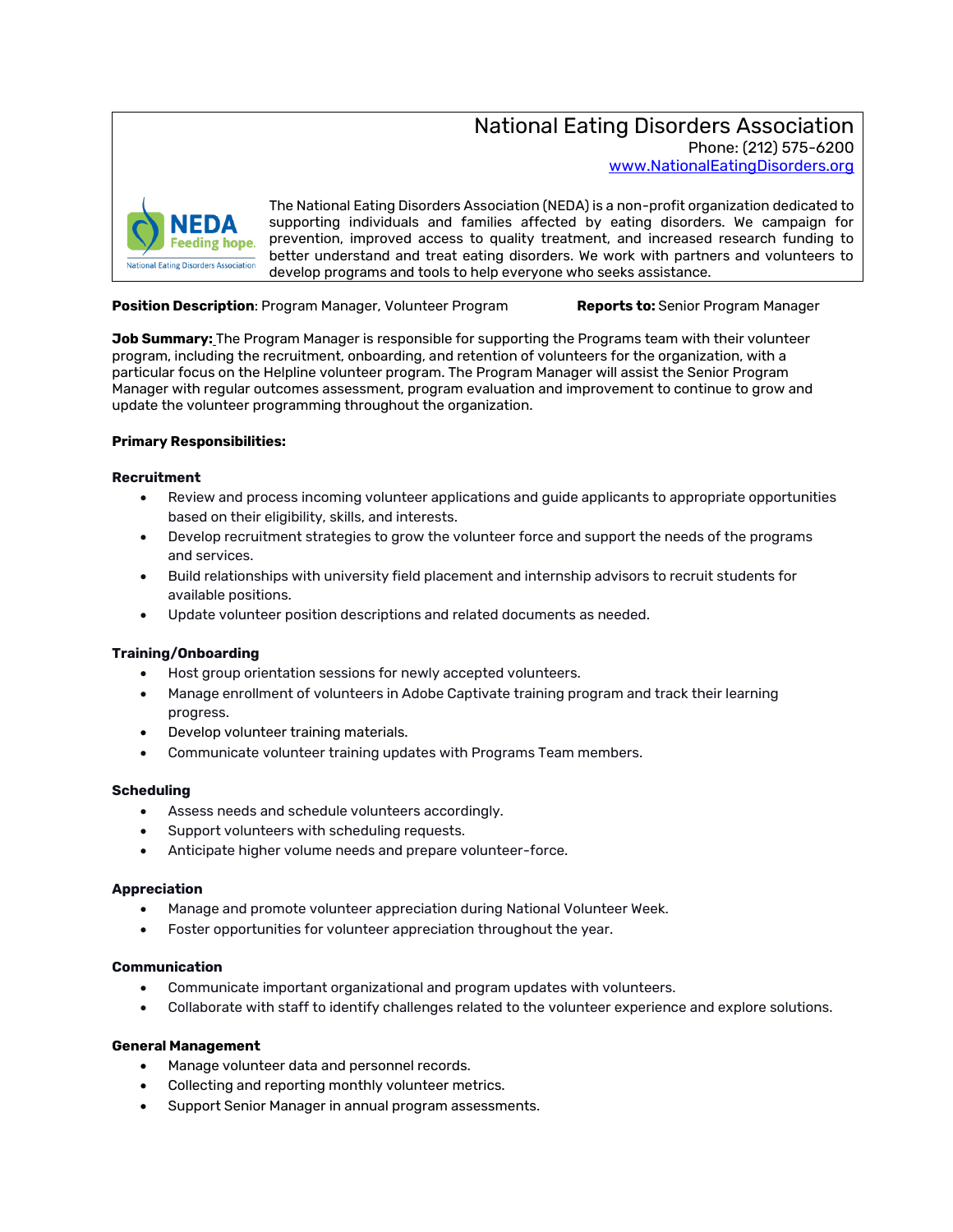National Eating Disorders Association Phone: (212) 575-6200 [www.NationalEatingDisorders.org](http://www.nationaleatingdisorders.org/)



The National Eating Disorders Association (NEDA) is a non-profit organization dedicated to supporting individuals and families affected by eating disorders. We campaign for prevention, improved access to quality treatment, and increased research funding to better understand and treat eating disorders. We work with partners and volunteers to develop programs and tools to help everyone who seeks assistance.

#### **Position Description**: Program Manager, Volunteer Program **Reports to:** Senior Program Manager

**Job Summary:** The Program Manager is responsible for supporting the Programs team with their volunteer program, including the recruitment, onboarding, and retention of volunteers for the organization, with a particular focus on the Helpline volunteer program. The Program Manager will assist the Senior Program Manager with regular outcomes assessment, program evaluation and improvement to continue to grow and update the volunteer programming throughout the organization.

#### **Primary Responsibilities:**

### **Recruitment**

- Review and process incoming volunteer applications and guide applicants to appropriate opportunities based on their eligibility, skills, and interests.
- Develop recruitment strategies to grow the volunteer force and support the needs of the programs and services.
- Build relationships with university field placement and internship advisors to recruit students for available positions.
- Update volunteer position descriptions and related documents as needed.

#### **Training/Onboarding**

- Host group orientation sessions for newly accepted volunteers.
- Manage enrollment of volunteers in Adobe Captivate training program and track their learning progress.
- Develop volunteer training materials.
- Communicate volunteer training updates with Programs Team members.

#### **Scheduling**

- Assess needs and schedule volunteers accordingly.
- Support volunteers with scheduling requests.
- Anticipate higher volume needs and prepare volunteer-force.

#### **Appreciation**

- Manage and promote volunteer appreciation during National Volunteer Week.
- Foster opportunities for volunteer appreciation throughout the year.

## **Communication**

- Communicate important organizational and program updates with volunteers.
- Collaborate with staff to identify challenges related to the volunteer experience and explore solutions.

## **General Management**

- Manage volunteer data and personnel records.
- Collecting and reporting monthly volunteer metrics.
- Support Senior Manager in annual program assessments.